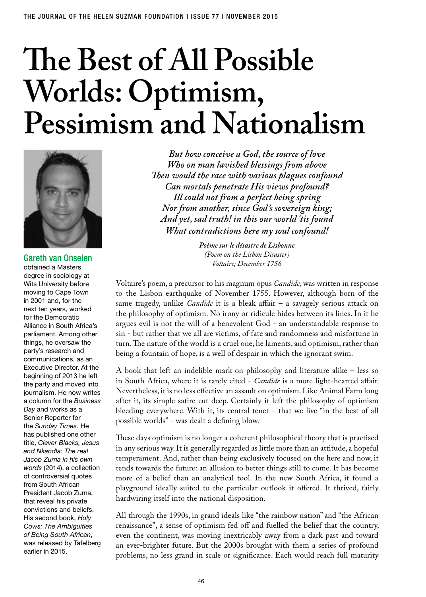## **The Best of All Possible Worlds: Optimism, Pessimism and Nationalism**



Gareth van Onselen obtained a Masters degree in sociology at Wits University before moving to Cape Town in 2001 and, for the next ten years, worked for the Democratic Alliance in South Africa's parliament. Among other things, he oversaw the party's research and communications, as an Executive Director. At the beginning of 2013 he left the party and moved into journalism. He now writes a column for the *Business Day* and works as a Senior Reporter for the *Sunday Times*. He has published one other title, *Clever Blacks, Jesus and Nkandla: The real Jacob Zuma in his own words* (2014), a collection of controversial quotes from South African President Jacob Zuma, that reveal his private convictions and beliefs. His second book, *Holy Cows: The Ambiguities of Being South African*, was released by Tafelberg earlier in 2015.

*But how conceive a God, the source of love Who on man lavished blessings from above Then would the race with various plagues confound Can mortals penetrate His views profound? Ill could not from a perfect being spring Nor from another, since God's sovereign king; And yet, sad truth! in this our world 'tis found What contradictions here my soul confound!*

> *Poème sur le désastre de Lisbonne (Poem on the Lisbon Disaster) Voltaire; December 1756*

Voltaire's poem, a precursor to his magnum opus *Candide*, was written in response to the Lisbon earthquake of November 1755. However, although born of the same tragedy, unlike *Candide* it is a bleak affair – a savagely serious attack on the philosophy of optimism. No irony or ridicule hides between its lines. In it he argues evil is not the will of a benevolent God - an understandable response to sin - but rather that we all are victims, of fate and randomness and misfortune in turn. The nature of the world is a cruel one, he laments, and optimism, rather than being a fountain of hope, is a well of despair in which the ignorant swim.

A book that left an indelible mark on philosophy and literature alike – less so in South Africa, where it is rarely cited - *Candide* is a more light-hearted affair. Nevertheless, it is no less effective an assault on optimism. Like Animal Farm long after it, its simple satire cut deep. Certainly it left the philosophy of optimism bleeding everywhere. With it, its central tenet – that we live "in the best of all possible worlds" – was dealt a defining blow.

These days optimism is no longer a coherent philosophical theory that is practised in any serious way. It is generally regarded as little more than an attitude, a hopeful temperament. And, rather than being exclusively focused on the here and now, it tends towards the future: an allusion to better things still to come. It has become more of a belief than an analytical tool. In the new South Africa, it found a playground ideally suited to the particular outlook it offered. It thrived, fairly hardwiring itself into the national disposition.

All through the 1990s, in grand ideals like "the rainbow nation" and "the African renaissance", a sense of optimism fed off and fuelled the belief that the country, even the continent, was moving inextricably away from a dark past and toward an ever-brighter future. But the 2000s brought with them a series of profound problems, no less grand in scale or significance. Each would reach full maturity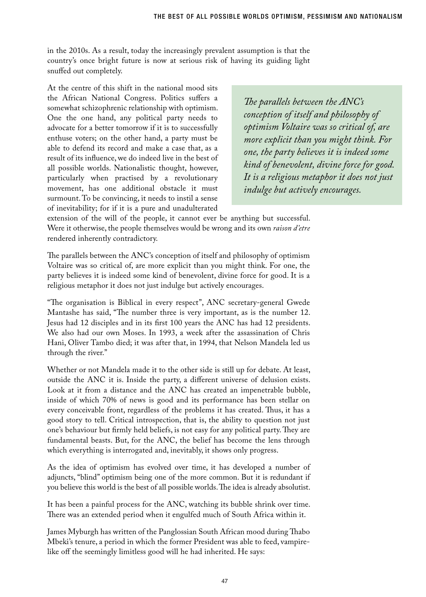in the 2010s. As a result, today the increasingly prevalent assumption is that the country's once bright future is now at serious risk of having its guiding light snuffed out completely.

At the centre of this shift in the national mood sits the African National Congress. Politics suffers a somewhat schizophrenic relationship with optimism. One the one hand, any political party needs to advocate for a better tomorrow if it is to successfully enthuse voters; on the other hand, a party must be able to defend its record and make a case that, as a result of its influence, we do indeed live in the best of all possible worlds. Nationalistic thought, however, particularly when practised by a revolutionary movement, has one additional obstacle it must surmount. To be convincing, it needs to instil a sense of inevitability; for if it is a pure and unadulterated

*The parallels between the ANC's conception of itself and philosophy of optimism Voltaire was so critical of, are more explicit than you might think. For one, the party believes it is indeed some kind of benevolent, divine force for good. It is a religious metaphor it does not just indulge but actively encourages.* 

extension of the will of the people, it cannot ever be anything but successful. Were it otherwise, the people themselves would be wrong and its own *raison d'etre*  rendered inherently contradictory.

The parallels between the ANC's conception of itself and philosophy of optimism Voltaire was so critical of, are more explicit than you might think. For one, the party believes it is indeed some kind of benevolent, divine force for good. It is a religious metaphor it does not just indulge but actively encourages.

"The organisation is Biblical in every respect", ANC secretary-general Gwede Mantashe has said, "The number three is very important, as is the number 12. Jesus had 12 disciples and in its first 100 years the ANC has had 12 presidents. We also had our own Moses. In 1993, a week after the assassination of Chris Hani, Oliver Tambo died; it was after that, in 1994, that Nelson Mandela led us through the river."

Whether or not Mandela made it to the other side is still up for debate. At least, outside the ANC it is. Inside the party, a different universe of delusion exists. Look at it from a distance and the ANC has created an impenetrable bubble, inside of which 70% of news is good and its performance has been stellar on every conceivable front, regardless of the problems it has created. Thus, it has a good story to tell. Critical introspection, that is, the ability to question not just one's behaviour but firmly held beliefs, is not easy for any political party. They are fundamental beasts. But, for the ANC, the belief has become the lens through which everything is interrogated and, inevitably, it shows only progress.

As the idea of optimism has evolved over time, it has developed a number of adjuncts, "blind" optimism being one of the more common. But it is redundant if you believe this world is the best of all possible worlds. The idea is already absolutist.

It has been a painful process for the ANC, watching its bubble shrink over time. There was an extended period when it engulfed much of South Africa within it.

James Myburgh has written of the Panglossian South African mood during Thabo Mbeki's tenure, a period in which the former President was able to feed, vampirelike off the seemingly limitless good will he had inherited. He says: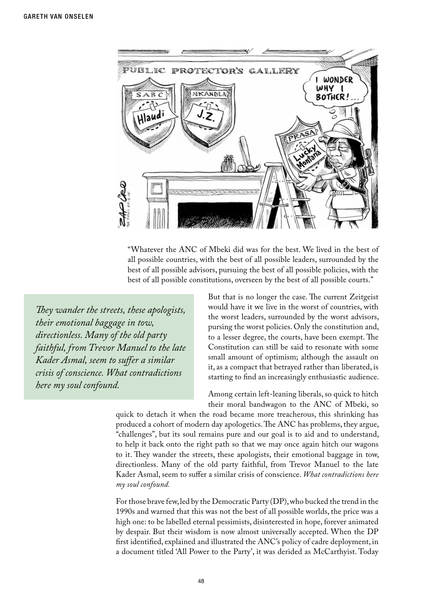

"Whatever the ANC of Mbeki did was for the best. We lived in the best of all possible countries, with the best of all possible leaders, surrounded by the best of all possible advisors, pursuing the best of all possible policies, with the best of all possible constitutions, overseen by the best of all possible courts."

*They wander the streets, these apologists, their emotional baggage in tow, directionless. Many of the old party faithful, from Trevor Manuel to the late Kader Asmal, seem to suffer a similar crisis of conscience. What contradictions here my soul confound.*

But that is no longer the case. The current Zeitgeist would have it we live in the worst of countries, with the worst leaders, surrounded by the worst advisors, pursing the worst policies. Only the constitution and, to a lesser degree, the courts, have been exempt. The Constitution can still be said to resonate with some small amount of optimism; although the assault on it, as a compact that betrayed rather than liberated, is starting to find an increasingly enthusiastic audience.

Among certain left-leaning liberals, so quick to hitch their moral bandwagon to the ANC of Mbeki, so

quick to detach it when the road became more treacherous, this shrinking has produced a cohort of modern day apologetics. The ANC has problems, they argue, "challenges", but its soul remains pure and our goal is to aid and to understand, to help it back onto the right path so that we may once again hitch our wagons to it. They wander the streets, these apologists, their emotional baggage in tow, directionless. Many of the old party faithful, from Trevor Manuel to the late Kader Asmal, seem to suffer a similar crisis of conscience. *What contradictions here my soul confound.*

For those brave few, led by the Democratic Party (DP), who bucked the trend in the 1990s and warned that this was not the best of all possible worlds, the price was a high one: to be labelled eternal pessimists, disinterested in hope, forever animated by despair. But their wisdom is now almost universally accepted. When the DP first identified, explained and illustrated the ANC's policy of cadre deployment, in a document titled 'All Power to the Party', it was derided as McCarthyist. Today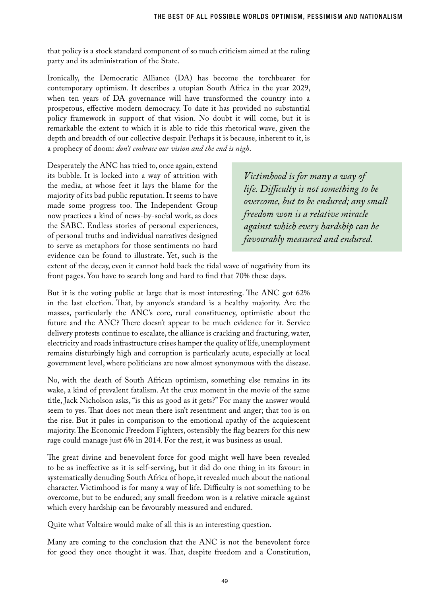that policy is a stock standard component of so much criticism aimed at the ruling party and its administration of the State.

Ironically, the Democratic Alliance (DA) has become the torchbearer for contemporary optimism. It describes a utopian South Africa in the year 2029, when ten years of DA governance will have transformed the country into a prosperous, effective modern democracy. To date it has provided no substantial policy framework in support of that vision. No doubt it will come, but it is remarkable the extent to which it is able to ride this rhetorical wave, given the depth and breadth of our collective despair. Perhaps it is because, inherent to it, is a prophecy of doom: *don't embrace our vision and the end is nigh*.

Desperately the ANC has tried to, once again, extend its bubble. It is locked into a way of attrition with the media, at whose feet it lays the blame for the majority of its bad public reputation. It seems to have made some progress too. The Independent Group now practices a kind of news-by-social work, as does the SABC. Endless stories of personal experiences, of personal truths and individual narratives designed to serve as metaphors for those sentiments no hard evidence can be found to illustrate. Yet, such is the

*Victimhood is for many a way of life. Difficulty is not something to be overcome, but to be endured; any small freedom won is a relative miracle against which every hardship can be favourably measured and endured.*

extent of the decay, even it cannot hold back the tidal wave of negativity from its front pages. You have to search long and hard to find that 70% these days.

But it is the voting public at large that is most interesting. The ANC got 62% in the last election. That, by anyone's standard is a healthy majority. Are the masses, particularly the ANC's core, rural constituency, optimistic about the future and the ANC? There doesn't appear to be much evidence for it. Service delivery protests continue to escalate, the alliance is cracking and fracturing, water, electricity and roads infrastructure crises hamper the quality of life, unemployment remains disturbingly high and corruption is particularly acute, especially at local government level, where politicians are now almost synonymous with the disease.

No, with the death of South African optimism, something else remains in its wake, a kind of prevalent fatalism. At the crux moment in the movie of the same title, Jack Nicholson asks, "is this as good as it gets?" For many the answer would seem to yes. That does not mean there isn't resentment and anger; that too is on the rise. But it pales in comparison to the emotional apathy of the acquiescent majority. The Economic Freedom Fighters, ostensibly the flag bearers for this new rage could manage just 6% in 2014. For the rest, it was business as usual.

The great divine and benevolent force for good might well have been revealed to be as ineffective as it is self-serving, but it did do one thing in its favour: in systematically denuding South Africa of hope, it revealed much about the national character. Victimhood is for many a way of life. Difficulty is not something to be overcome, but to be endured; any small freedom won is a relative miracle against which every hardship can be favourably measured and endured.

Quite what Voltaire would make of all this is an interesting question.

Many are coming to the conclusion that the ANC is not the benevolent force for good they once thought it was. That, despite freedom and a Constitution,